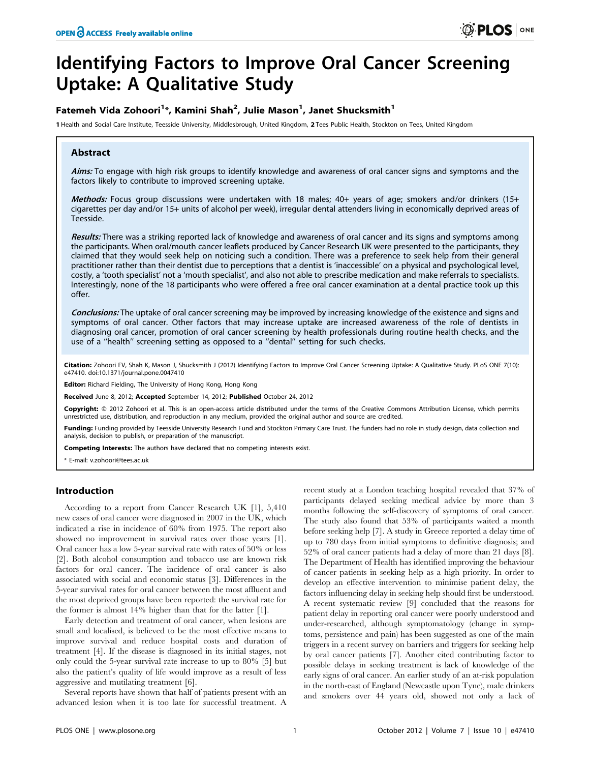# Identifying Factors to Improve Oral Cancer Screening Uptake: A Qualitative Study

# Fatemeh Vida Zohoori $^{1*}$ , Kamini Shah $^{2}$ , Julie Mason $^{1}$ , Janet Shucksmith $^{1}$

1 Health and Social Care Institute, Teesside University, Middlesbrough, United Kingdom, 2 Tees Public Health, Stockton on Tees, United Kingdom

# Abstract

Aims: To engage with high risk groups to identify knowledge and awareness of oral cancer signs and symptoms and the factors likely to contribute to improved screening uptake.

Methods: Focus group discussions were undertaken with 18 males; 40+ years of age; smokers and/or drinkers (15+ cigarettes per day and/or 15+ units of alcohol per week), irregular dental attenders living in economically deprived areas of Teesside.

Results: There was a striking reported lack of knowledge and awareness of oral cancer and its signs and symptoms among the participants. When oral/mouth cancer leaflets produced by Cancer Research UK were presented to the participants, they claimed that they would seek help on noticing such a condition. There was a preference to seek help from their general practitioner rather than their dentist due to perceptions that a dentist is 'inaccessible' on a physical and psychological level, costly, a 'tooth specialist' not a 'mouth specialist', and also not able to prescribe medication and make referrals to specialists. Interestingly, none of the 18 participants who were offered a free oral cancer examination at a dental practice took up this offer.

Conclusions: The uptake of oral cancer screening may be improved by increasing knowledge of the existence and signs and symptoms of oral cancer. Other factors that may increase uptake are increased awareness of the role of dentists in diagnosing oral cancer, promotion of oral cancer screening by health professionals during routine health checks, and the use of a ''health'' screening setting as opposed to a ''dental'' setting for such checks.

Citation: Zohoori FV, Shah K, Mason J, Shucksmith J (2012) Identifying Factors to Improve Oral Cancer Screening Uptake: A Qualitative Study. PLoS ONE 7(10): e47410. doi:10.1371/journal.pone.0047410

Editor: Richard Fielding, The University of Hong Kong, Hong Kong

Received June 8, 2012; Accepted September 14, 2012; Published October 24, 2012

Copyright: © 2012 Zohoori et al. This is an open-access article distributed under the terms of the Creative Commons Attribution License, which permits unrestricted use, distribution, and reproduction in any medium, provided the original author and source are credited.

Funding: Funding provided by Teesside University Research Fund and Stockton Primary Care Trust. The funders had no role in study design, data collection and analysis, decision to publish, or preparation of the manuscript.

Competing Interests: The authors have declared that no competing interests exist.

\* E-mail: v.zohoori@tees.ac.uk

# Introduction

According to a report from Cancer Research UK [1], 5,410 new cases of oral cancer were diagnosed in 2007 in the UK, which indicated a rise in incidence of 60% from 1975. The report also showed no improvement in survival rates over those years [1]. Oral cancer has a low 5-year survival rate with rates of 50% or less [2]. Both alcohol consumption and tobacco use are known risk factors for oral cancer. The incidence of oral cancer is also associated with social and economic status [3]. Differences in the 5-year survival rates for oral cancer between the most affluent and the most deprived groups have been reported: the survival rate for the former is almost 14% higher than that for the latter [1].

Early detection and treatment of oral cancer, when lesions are small and localised, is believed to be the most effective means to improve survival and reduce hospital costs and duration of treatment [4]. If the disease is diagnosed in its initial stages, not only could the 5-year survival rate increase to up to 80% [5] but also the patient's quality of life would improve as a result of less aggressive and mutilating treatment [6].

Several reports have shown that half of patients present with an advanced lesion when it is too late for successful treatment. A

recent study at a London teaching hospital revealed that 37% of participants delayed seeking medical advice by more than 3 months following the self-discovery of symptoms of oral cancer. The study also found that 53% of participants waited a month before seeking help [7]. A study in Greece reported a delay time of up to 780 days from initial symptoms to definitive diagnosis; and 52% of oral cancer patients had a delay of more than 21 days [8]. The Department of Health has identified improving the behaviour of cancer patients in seeking help as a high priority. In order to develop an effective intervention to minimise patient delay, the factors influencing delay in seeking help should first be understood. A recent systematic review [9] concluded that the reasons for patient delay in reporting oral cancer were poorly understood and under-researched, although symptomatology (change in symptoms, persistence and pain) has been suggested as one of the main triggers in a recent survey on barriers and triggers for seeking help by oral cancer patients [7]. Another cited contributing factor to possible delays in seeking treatment is lack of knowledge of the early signs of oral cancer. An earlier study of an at-risk population in the north-east of England (Newcastle upon Tyne), male drinkers and smokers over 44 years old, showed not only a lack of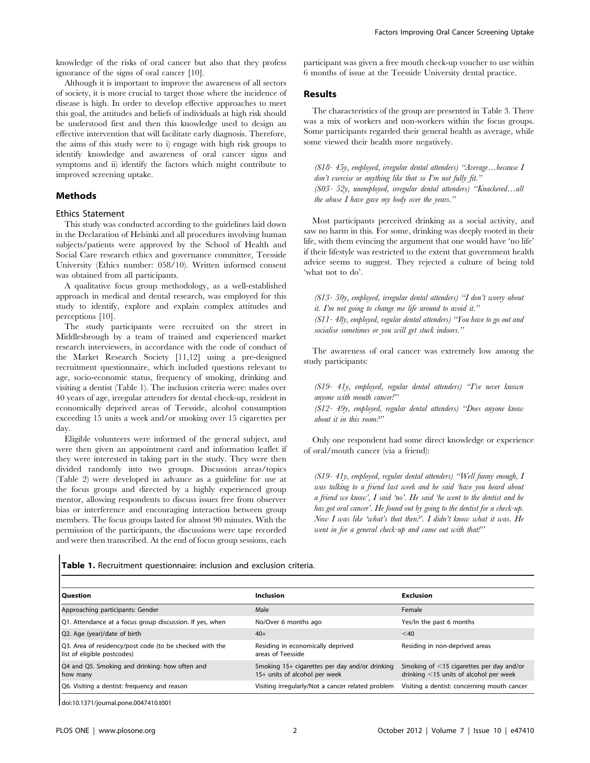knowledge of the risks of oral cancer but also that they profess ignorance of the signs of oral cancer [10].

Although it is important to improve the awareness of all sectors of society, it is more crucial to target those where the incidence of disease is high. In order to develop effective approaches to meet this goal, the attitudes and beliefs of individuals at high risk should be understood first and then this knowledge used to design an effective intervention that will facilitate early diagnosis. Therefore, the aims of this study were to i) engage with high risk groups to identify knowledge and awareness of oral cancer signs and symptoms and ii) identify the factors which might contribute to improved screening uptake.

# Methods

#### Ethics Statement

This study was conducted according to the guidelines laid down in the Declaration of Helsinki and all procedures involving human subjects/patients were approved by the School of Health and Social Care research ethics and governance committee, Teesside University (Ethics number: 058/10). Written informed consent was obtained from all participants.

A qualitative focus group methodology, as a well-established approach in medical and dental research, was employed for this study to identify, explore and explain complex attitudes and perceptions [10].

The study participants were recruited on the street in Middlesbrough by a team of trained and experienced market research interviewers, in accordance with the code of conduct of the Market Research Society [11,12] using a pre-designed recruitment questionnaire, which included questions relevant to age, socio-economic status, frequency of smoking, drinking and visiting a dentist (Table 1). The inclusion criteria were: males over 40 years of age, irregular attenders for dental check-up, resident in economically deprived areas of Teesside, alcohol consumption exceeding 15 units a week and/or smoking over 15 cigarettes per day.

Eligible volunteers were informed of the general subject, and were then given an appointment card and information leaflet if they were interested in taking part in the study. They were then divided randomly into two groups. Discussion areas/topics (Table 2) were developed in advance as a guideline for use at the focus groups and directed by a highly experienced group mentor, allowing respondents to discuss issues free from observer bias or interference and encouraging interaction between group members. The focus groups lasted for almost 90 minutes. With the permission of the participants, the discussions were tape recorded and were then transcribed. At the end of focus group sessions, each

participant was given a free mouth check-up voucher to use within 6 months of issue at the Teesside University dental practice.

#### Results

The characteristics of the group are presented in Table 3. There was a mix of workers and non-workers within the focus groups. Some participants regarded their general health as average, while some viewed their health more negatively.

(S18- 45y, employed, irregular dental attenders) ''Average…because I  $don't$  exercise or anything like that so  $I'm$  not fully fit." (S03- 52y, unemployed, irregular dental attenders) ''Knackered…all the abuse  $I$  have gave my body over the years."

Most participants perceived drinking as a social activity, and saw no harm in this. For some, drinking was deeply rooted in their life, with them evincing the argument that one would have 'no life' if their lifestyle was restricted to the extent that government health advice seems to suggest. They rejected a culture of being told 'what not to do'.

(S13- 50y, employed, irregular dental attenders) ''I don't worry about it. I'm not going to change me life around to avoid it.'' (S11- 48y, employed, regular dental attenders) ''You have to go out and socialise sometimes or you will get stuck indoors."

The awareness of oral cancer was extremely low among the study participants:

(S19- 41y, employed, regular dental attenders) ''I've never known anyone with mouth cancer!''

(S12- 49y, employed, regular dental attenders) ''Does anyone know about it in this room?''

Only one respondent had some direct knowledge or experience of oral/mouth cancer (via a friend):

(S19- 41y, employed, regular dental attenders) ''Well funny enough, I was talking to a friend last week and he said 'have you heard about a friend we know', I said 'no'. He said 'he went to the dentist and he has got oral cancer'. He found out by going to the dentist for a check-up. Now I was like 'what's that then?'. I didn't know what it was. He went in for a general check-up and came out with that!"

Table 1. Recruitment questionnaire: inclusion and exclusion criteria.

| l Question                                                                             | <b>Inclusion</b>                                                                | <b>Exclusion</b>                                                                      |
|----------------------------------------------------------------------------------------|---------------------------------------------------------------------------------|---------------------------------------------------------------------------------------|
| Approaching participants: Gender                                                       | Male                                                                            | Female                                                                                |
| Q1. Attendance at a focus group discussion. If yes, when                               | No/Over 6 months ago                                                            | Yes/In the past 6 months                                                              |
| Q2. Age (year)/date of birth                                                           | $40+$                                                                           | $<$ 40                                                                                |
| Q3. Area of residency/post code (to be checked with the<br>list of eligible postcodes) | Residing in economically deprived<br>areas of Teesside                          | Residing in non-deprived areas                                                        |
| Q4 and Q5. Smoking and drinking: how often and<br>how many                             | Smoking 15+ cigarettes per day and/or drinking<br>15+ units of alcohol per week | Smoking of <15 cigarettes per day and/or<br>drinking $<$ 15 units of alcohol per week |
| Q6. Visiting a dentist: frequency and reason                                           | Visiting irregularly/Not a cancer related problem                               | Visiting a dentist: concerning mouth cancer                                           |

doi:10.1371/journal.pone.0047410.t001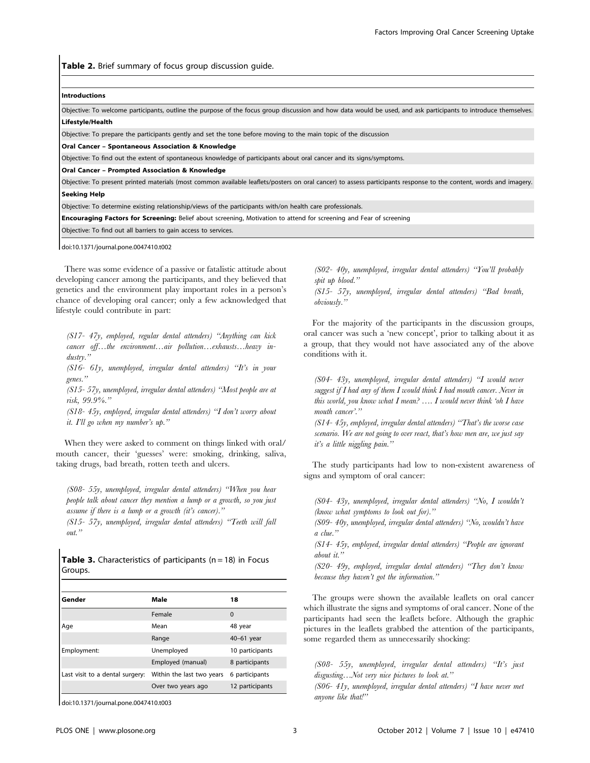Table 2. Brief summary of focus group discussion quide.

#### Introductions

Objective: To welcome participants, outline the purpose of the focus group discussion and how data would be used, and ask participants to introduce themselves. Lifestyle/Health

Objective: To prepare the participants gently and set the tone before moving to the main topic of the discussion

Oral Cancer – Spontaneous Association & Knowledge

Objective: To find out the extent of spontaneous knowledge of participants about oral cancer and its signs/symptoms.

Oral Cancer – Prompted Association & Knowledge

Objective: To present printed materials (most common available leaflets/posters on oral cancer) to assess participants response to the content, words and imagery. Seeking Help

Objective: To determine existing relationship/views of the participants with/on health care professionals.

Encouraging Factors for Screening: Belief about screening, Motivation to attend for screening and Fear of screening

Objective: To find out all barriers to gain access to services.

doi:10.1371/journal.pone.0047410.t002

There was some evidence of a passive or fatalistic attitude about developing cancer among the participants, and they believed that genetics and the environment play important roles in a person's chance of developing oral cancer; only a few acknowledged that lifestyle could contribute in part:

(S17- 47y, employed, regular dental attenders) ''Anything can kick cancer off...the environment...air pollution...exhausts...heavy industry.''

(S16- 61y, unemployed, irregular dental attenders) ''It's in your genes.''

(S15- 57y, unemployed, irregular dental attenders) ''Most people are at risk, 99.9%.''

(S18- 45y, employed, irregular dental attenders) ''I don't worry about it. I'll go when my number's up.''

When they were asked to comment on things linked with oral/ mouth cancer, their 'guesses' were: smoking, drinking, saliva, taking drugs, bad breath, rotten teeth and ulcers.

(S08- 55y, unemployed, irregular dental attenders) ''When you hear people talk about cancer they mention a lump or a growth, so you just assume if there is a lump or a growth (it's cancer).''

(S15- 57y, unemployed, irregular dental attenders) ''Teeth will fall out."

**Table 3.** Characteristics of participants ( $n = 18$ ) in Focus Groups.

| Gender                          | Male                      | 18              |
|---------------------------------|---------------------------|-----------------|
|                                 | Female                    | $\Omega$        |
| Age                             | Mean                      | 48 year         |
|                                 | Range                     | 40-61 year      |
| Employment:                     | Unemployed                | 10 participants |
|                                 | Employed (manual)         | 8 participants  |
| Last visit to a dental surgery: | Within the last two years | 6 participants  |
|                                 | Over two years ago        | 12 participants |

doi:10.1371/journal.pone.0047410.t003

(S02- 40y, unemployed, irregular dental attenders) ''You'll probably spit up blood."

(S15- 57y, unemployed, irregular dental attenders) ''Bad breath, obviously.''

For the majority of the participants in the discussion groups, oral cancer was such a 'new concept', prior to talking about it as a group, that they would not have associated any of the above conditions with it.

(S04- 43y, unemployed, irregular dental attenders) ''I would never suggest if I had any of them I would think I had mouth cancer. Never in this world, you know what  $I$  mean?  $\ldots$   $I$  would never think 'oh  $I$  have mouth cancer'."

 $(SI4-45v,$  employed, irregular dental attenders) "That's the worse case scenario. We are not going to over react, that's how men are, we just say it's a little niggling pain.''

The study participants had low to non-existent awareness of signs and symptom of oral cancer:

(S04- 43y, unemployed, irregular dental attenders) ''No, I wouldn't (know what symptoms to look out for).''

(S09- 40y, unemployed, irregular dental attenders) ''No, wouldn't have a clue.''

(S14- 45y, employed, irregular dental attenders) ''People are ignorant about it.''

(S20- 49y, employed, irregular dental attenders) ''They don't know because they haven't got the information.''

The groups were shown the available leaflets on oral cancer which illustrate the signs and symptoms of oral cancer. None of the participants had seen the leaflets before. Although the graphic pictures in the leaflets grabbed the attention of the participants, some regarded them as unnecessarily shocking:

(S08- 55y, unemployed, irregular dental attenders) ''It's just disgusting...Not very nice pictures to look at."

(S06- 41y, unemployed, irregular dental attenders) ''I have never met anyone like that!''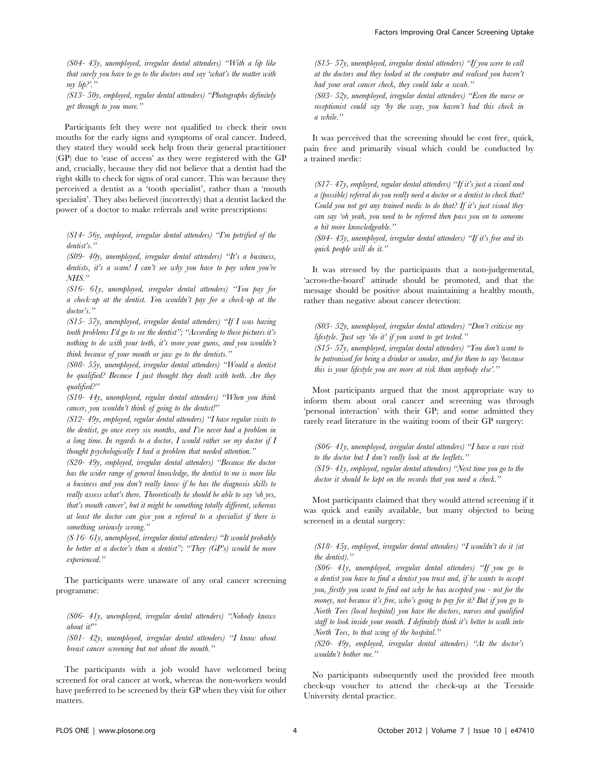(S04- 43y, unemployed, irregular dental attenders) ''With a lip like that surely you have to go to the doctors and say 'what's the matter with my lip?'.''

(S13- 50y, employed, regular dental attenders) ''Photographs definitely get through to you more.''

Participants felt they were not qualified to check their own mouths for the early signs and symptoms of oral cancer. Indeed, they stated they would seek help from their general practitioner (GP) due to 'ease of access' as they were registered with the GP and, crucially, because they did not believe that a dentist had the right skills to check for signs of oral cancer. This was because they perceived a dentist as a 'tooth specialist', rather than a 'mouth specialist'. They also believed (incorrectly) that a dentist lacked the power of a doctor to make referrals and write prescriptions:

(S14- 56y, employed, irregular dental attenders) ''I'm petrified of the dentist's.''

(S09-  $40y$ , unemployed, irregular dental attenders) "It's a business, dentists, it's a scam! I can't see why you have to pay when you're  $NHS$ ."

(S16- 61y, unemployed, irregular dental attenders) ''You pay for a check-up at the dentist. You wouldn't pay for a check-up at the doctor's."

(S15- 57y, unemployed, irregular dental attenders) ''If I was having tooth problems I'd go to see the dentist"; "According to these pictures it's nothing to do with your teeth, it's more your gums, and you wouldn't think because of your mouth or jaw go to the dentists.''

(S08- 55y, unemployed, irregular dental attenders) ''Would a dentist be qualified? Because  $I$  just thought they dealt with teeth. Are they qualified?''

(S10- 44y, unemployed, regular dental attenders) ''When you think cancer, you wouldn't think of going to the dentist!"

(S12- 49y, employed, regular dental attenders) ''I have regular visits to the dentist, go once every six months, and I've never had a problem in a long time. In regards to a doctor,  $I$  would rather see my doctor if  $I$ thought psychologically I had a problem that needed attention.''

(S20- 49y, employed, irregular dental attenders) ''Because the doctor has the wider range of general knowledge, the dentist to me is more like a business and you don't really know if he has the diagnosis skills to really assess what's there. Theoretically he should be able to say 'oh yes, that's mouth cancer', but it might be something totally different, whereas at least the doctor can give you a referral to a specialist if there is something seriously wrong."

(S 16- 61y, unemployed, irregular dental attenders) ''It would probably be better at a doctor's than a dentist"; "They  $(GP's)$  would be more experienced.''

The participants were unaware of any oral cancer screening programme:

(S06- 41y, unemployed, irregular dental attenders) ''Nobody knows about it!''

(S01- 42y, unemployed, irregular dental attenders) ''I know about breast cancer screening but not about the mouth.''

The participants with a job would have welcomed being screened for oral cancer at work, whereas the non-workers would have preferred to be screened by their GP when they visit for other matters.

(S15- 57y, unemployed, irregular dental attenders) ''If you were to call at the doctors and they looked at the computer and realised you haven't had your oral cancer check, they could take a swab."

(S03- 52y, unemployed, irregular dental attenders) ''Even the nurse or receptionist could say 'by the way, you haven't had this check in a while.''

It was perceived that the screening should be cost free, quick, pain free and primarily visual which could be conducted by a trained medic:

(S17- 47y, employed, regular dental attenders) ''If it's just a visual and a (possible) referral do you really need a doctor or a dentist to check that? Could you not get any trained medic to do that? If it's just visual they can say 'oh yeah, you need to be referred then pass you on to someone a bit more knowledgeable.''

(S04- 43y, unemployed, irregular dental attenders) ''If it's free and its quick people will do it.''

It was stressed by the participants that a non-judgemental, 'across-the-board' attitude should be promoted, and that the message should be positive about maintaining a healthy mouth, rather than negative about cancer detection:

(S03- 52y, unemployed, irregular dental attenders) ''Don't criticise my lifestyle. Just say 'do it' if you want to get tested." (S15- 57y, unemployed, irregular dental attenders) ''You don't want to be patronised for being a drinker or smoker, and for them to say 'because this is your lifestyle you are more at risk than anybody else'."

Most participants argued that the most appropriate way to inform them about oral cancer and screening was through 'personal interaction' with their GP; and some admitted they rarely read literature in the waiting room of their GP surgery:

(S06- 41y, unemployed, irregular dental attenders) ''I have a rare visit to the doctor but  $I$  don't really look at the leaflets."  $(S19-41y,$  employed, regular dental attenders) "Next time you go to the doctor it should be kept on the records that you need a check."

Most participants claimed that they would attend screening if it was quick and easily available, but many objected to being screened in a dental surgery:

(S18- 45y, employed, irregular dental attenders) ''I wouldn't do it (at the dentist).''

(S06- 41y, unemployed, irregular dental attenders) ''If you go to a dentist you have to find a dentist you trust and, if he wants to accept you, firstly you want to find out why he has accepted you - not for the money, not because it's free, who's going to pay for it? But if you go to North Tees (local hospital) you have the doctors, nurses and qualified staff to look inside your mouth. I definitely think it's better to walk into North Tees, to that wing of the hospital.''

 $(S20-49y,$  employed, irregular dental attenders) "At the doctor's wouldn't bother me.''

No participants subsequently used the provided free mouth check-up voucher to attend the check-up at the Teesside University dental practice.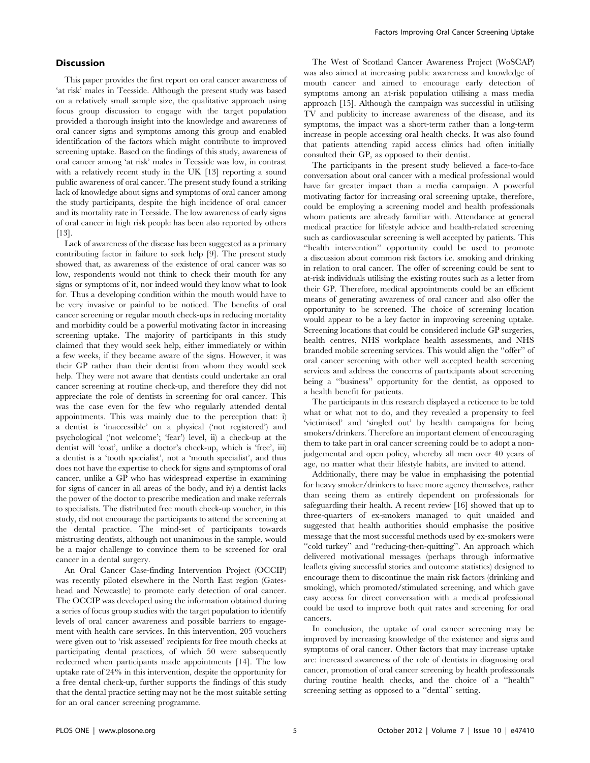# **Discussion**

This paper provides the first report on oral cancer awareness of 'at risk' males in Teesside. Although the present study was based on a relatively small sample size, the qualitative approach using focus group discussion to engage with the target population provided a thorough insight into the knowledge and awareness of oral cancer signs and symptoms among this group and enabled identification of the factors which might contribute to improved screening uptake. Based on the findings of this study, awareness of oral cancer among 'at risk' males in Teesside was low, in contrast with a relatively recent study in the UK [13] reporting a sound public awareness of oral cancer. The present study found a striking lack of knowledge about signs and symptoms of oral cancer among the study participants, despite the high incidence of oral cancer and its mortality rate in Teesside. The low awareness of early signs of oral cancer in high risk people has been also reported by others [13].

Lack of awareness of the disease has been suggested as a primary contributing factor in failure to seek help [9]. The present study showed that, as awareness of the existence of oral cancer was so low, respondents would not think to check their mouth for any signs or symptoms of it, nor indeed would they know what to look for. Thus a developing condition within the mouth would have to be very invasive or painful to be noticed. The benefits of oral cancer screening or regular mouth check-ups in reducing mortality and morbidity could be a powerful motivating factor in increasing screening uptake. The majority of participants in this study claimed that they would seek help, either immediately or within a few weeks, if they became aware of the signs. However, it was their GP rather than their dentist from whom they would seek help. They were not aware that dentists could undertake an oral cancer screening at routine check-up, and therefore they did not appreciate the role of dentists in screening for oral cancer. This was the case even for the few who regularly attended dental appointments. This was mainly due to the perception that: i) a dentist is 'inaccessible' on a physical ('not registered') and psychological ('not welcome'; 'fear') level, ii) a check-up at the dentist will 'cost', unlike a doctor's check-up, which is 'free', iii) a dentist is a 'tooth specialist', not a 'mouth specialist', and thus does not have the expertise to check for signs and symptoms of oral cancer, unlike a GP who has widespread expertise in examining for signs of cancer in all areas of the body, and iv) a dentist lacks the power of the doctor to prescribe medication and make referrals to specialists. The distributed free mouth check-up voucher, in this study, did not encourage the participants to attend the screening at the dental practice. The mind-set of participants towards mistrusting dentists, although not unanimous in the sample, would be a major challenge to convince them to be screened for oral cancer in a dental surgery.

An Oral Cancer Case-finding Intervention Project (OCCIP) was recently piloted elsewhere in the North East region (Gateshead and Newcastle) to promote early detection of oral cancer. The OCCIP was developed using the information obtained during a series of focus group studies with the target population to identify levels of oral cancer awareness and possible barriers to engagement with health care services. In this intervention, 205 vouchers were given out to 'risk assessed' recipients for free mouth checks at participating dental practices, of which 50 were subsequently redeemed when participants made appointments [14]. The low uptake rate of 24% in this intervention, despite the opportunity for a free dental check-up, further supports the findings of this study that the dental practice setting may not be the most suitable setting for an oral cancer screening programme.

The West of Scotland Cancer Awareness Project (WoSCAP) was also aimed at increasing public awareness and knowledge of mouth cancer and aimed to encourage early detection of symptoms among an at-risk population utilising a mass media approach [15]. Although the campaign was successful in utilising TV and publicity to increase awareness of the disease, and its symptoms, the impact was a short-term rather than a long-term increase in people accessing oral health checks. It was also found that patients attending rapid access clinics had often initially consulted their GP, as opposed to their dentist.

The participants in the present study believed a face-to-face conversation about oral cancer with a medical professional would have far greater impact than a media campaign. A powerful motivating factor for increasing oral screening uptake, therefore, could be employing a screening model and health professionals whom patients are already familiar with. Attendance at general medical practice for lifestyle advice and health-related screening such as cardiovascular screening is well accepted by patients. This ''health intervention'' opportunity could be used to promote a discussion about common risk factors i.e. smoking and drinking in relation to oral cancer. The offer of screening could be sent to at-risk individuals utilising the existing routes such as a letter from their GP. Therefore, medical appointments could be an efficient means of generating awareness of oral cancer and also offer the opportunity to be screened. The choice of screening location would appear to be a key factor in improving screening uptake. Screening locations that could be considered include GP surgeries, health centres, NHS workplace health assessments, and NHS branded mobile screening services. This would align the ''offer'' of oral cancer screening with other well accepted health screening services and address the concerns of participants about screening being a ''business'' opportunity for the dentist, as opposed to a health benefit for patients.

The participants in this research displayed a reticence to be told what or what not to do, and they revealed a propensity to feel 'victimised' and 'singled out' by health campaigns for being smokers/drinkers. Therefore an important element of encouraging them to take part in oral cancer screening could be to adopt a nonjudgemental and open policy, whereby all men over 40 years of age, no matter what their lifestyle habits, are invited to attend.

Additionally, there may be value in emphasising the potential for heavy smoker/drinkers to have more agency themselves, rather than seeing them as entirely dependent on professionals for safeguarding their health. A recent review [16] showed that up to three-quarters of ex-smokers managed to quit unaided and suggested that health authorities should emphasise the positive message that the most successful methods used by ex-smokers were "cold turkey" and "reducing-then-quitting". An approach which delivered motivational messages (perhaps through informative leaflets giving successful stories and outcome statistics) designed to encourage them to discontinue the main risk factors (drinking and smoking), which promoted/stimulated screening, and which gave easy access for direct conversation with a medical professional could be used to improve both quit rates and screening for oral cancers.

In conclusion, the uptake of oral cancer screening may be improved by increasing knowledge of the existence and signs and symptoms of oral cancer. Other factors that may increase uptake are: increased awareness of the role of dentists in diagnosing oral cancer, promotion of oral cancer screening by health professionals during routine health checks, and the choice of a ''health'' screening setting as opposed to a ''dental'' setting.